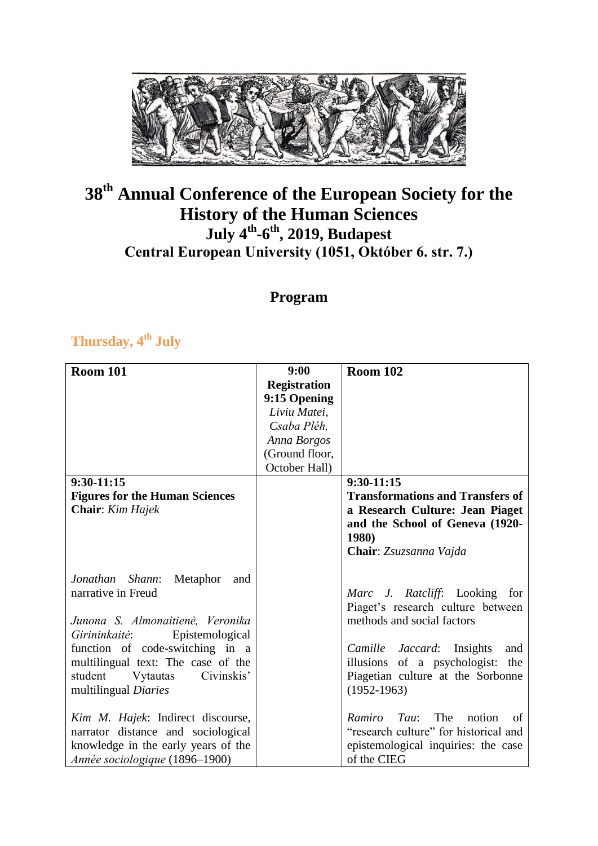

## **38th Annual Conference of the European Society for the History of the Human Sciences July 4th -6 th , 2019, Budapest Central European University (1051, Október 6. str. 7.)**

### **Program**

#### **Thursday, 4th July**

| <b>Room 101</b>                       | 9:00                | <b>Room 102</b>                         |
|---------------------------------------|---------------------|-----------------------------------------|
|                                       | <b>Registration</b> |                                         |
|                                       | 9:15 Opening        |                                         |
|                                       | Liviu Matei,        |                                         |
|                                       | Csaba Pléh,         |                                         |
|                                       | Anna Borgos         |                                         |
|                                       | (Ground floor,      |                                         |
|                                       | October Hall)       |                                         |
| $9:30-11:15$                          |                     | $9:30-11:15$                            |
| <b>Figures for the Human Sciences</b> |                     | <b>Transformations and Transfers of</b> |
| <b>Chair:</b> Kim Hajek               |                     | a Research Culture: Jean Piaget         |
|                                       |                     | and the School of Geneva (1920-         |
|                                       |                     | <b>1980)</b>                            |
|                                       |                     | Chair: Zsuzsanna Vajda                  |
|                                       |                     |                                         |
| Jonathan Shann:<br>Metaphor<br>and    |                     |                                         |
| narrative in Freud                    |                     | Marc J. Ratcliff: Looking for           |
|                                       |                     | Piaget's research culture between       |
| Junona S. Almonaitienė, Veronika      |                     | methods and social factors              |
| Girininkaitė:<br>Epistemological      |                     |                                         |
| function of code-switching in a       |                     | Camille Jaccard: Insights<br>and        |
| multilingual text: The case of the    |                     | illusions of a psychologist: the        |
| Civinskis'<br>student<br>Vytautas     |                     | Piagetian culture at the Sorbonne       |
| multilingual Diaries                  |                     | $(1952-1963)$                           |
|                                       |                     |                                         |
| Kim M. Hajek: Indirect discourse,     |                     | The<br>Ramiro<br>Tau:<br>notion<br>of   |
| narrator distance and sociological    |                     | "research culture" for historical and   |
| knowledge in the early years of the   |                     | epistemological inquiries: the case     |
| Année sociologique (1896-1900)        |                     | of the CIEG                             |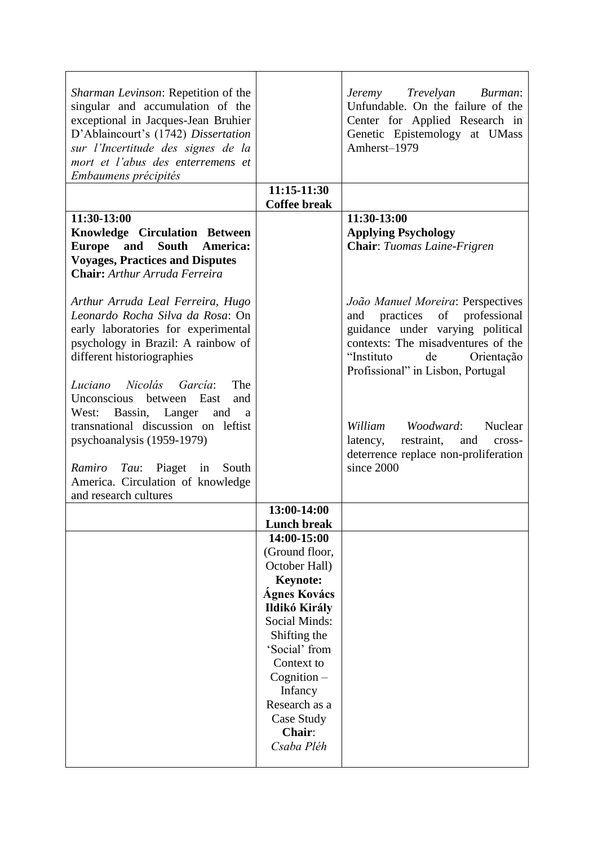| Sharman Levinson: Repetition of the<br>singular and accumulation of the<br>exceptional in Jacques-Jean Bruhier<br>D'Ablaincourt's (1742) Dissertation<br>sur l'Incertitude des signes de la<br>mort et l'abus des enterremens et<br>Embaumens précipités                   |                                                                                                                                                                                                                                                    | Jeremy Trevelyan Burman:<br>Unfundable. On the failure of the<br>Center for Applied Research in<br>Genetic Epistemology at UMass<br>Amherst-1979                                                                          |
|----------------------------------------------------------------------------------------------------------------------------------------------------------------------------------------------------------------------------------------------------------------------------|----------------------------------------------------------------------------------------------------------------------------------------------------------------------------------------------------------------------------------------------------|---------------------------------------------------------------------------------------------------------------------------------------------------------------------------------------------------------------------------|
|                                                                                                                                                                                                                                                                            | 11:15-11:30<br><b>Coffee break</b>                                                                                                                                                                                                                 |                                                                                                                                                                                                                           |
| 11:30-13:00<br><b>Knowledge Circulation Between</b><br>Europe and South America:<br><b>Voyages, Practices and Disputes</b><br><b>Chair:</b> Arthur Arruda Ferreira                                                                                                         |                                                                                                                                                                                                                                                    | 11:30-13:00<br><b>Applying Psychology</b><br>Chair: Tuomas Laine-Frigren                                                                                                                                                  |
| Arthur Arruda Leal Ferreira, Hugo<br>Leonardo Rocha Silva da Rosa: On<br>early laboratories for experimental<br>psychology in Brazil: A rainbow of<br>different historiographies                                                                                           |                                                                                                                                                                                                                                                    | João Manuel Moreira: Perspectives<br>practices<br>of professional<br>and<br>guidance under varying political<br>contexts: The misadventures of the<br>de<br>"Instituto<br>Orientação<br>Profissional" in Lisbon, Portugal |
| Luciano Nicolás García:<br>The<br>Unconscious between East<br>and<br>West: Bassin, Langer<br>and<br>a<br>transnational discussion on leftist<br>psychoanalysis (1959-1979)<br>Ramiro Tau: Piaget in<br>South<br>America. Circulation of knowledge<br>and research cultures |                                                                                                                                                                                                                                                    | William Woodward:<br>Nuclear<br>restraint,<br>latency,<br>and cross-<br>deterrence replace non-proliferation<br>since 2000                                                                                                |
|                                                                                                                                                                                                                                                                            | 13:00-14:00                                                                                                                                                                                                                                        |                                                                                                                                                                                                                           |
|                                                                                                                                                                                                                                                                            | <b>Lunch break</b><br>14:00-15:00                                                                                                                                                                                                                  |                                                                                                                                                                                                                           |
|                                                                                                                                                                                                                                                                            | (Ground floor,<br>October Hall)<br><b>Keynote:</b><br><b>Ágnes Kovács</b><br>Ildikó Király<br><b>Social Minds:</b><br>Shifting the<br>'Social' from<br>Context to<br>Cognition –<br>Infancy<br>Research as a<br>Case Study<br>Chair:<br>Csaba Pléh |                                                                                                                                                                                                                           |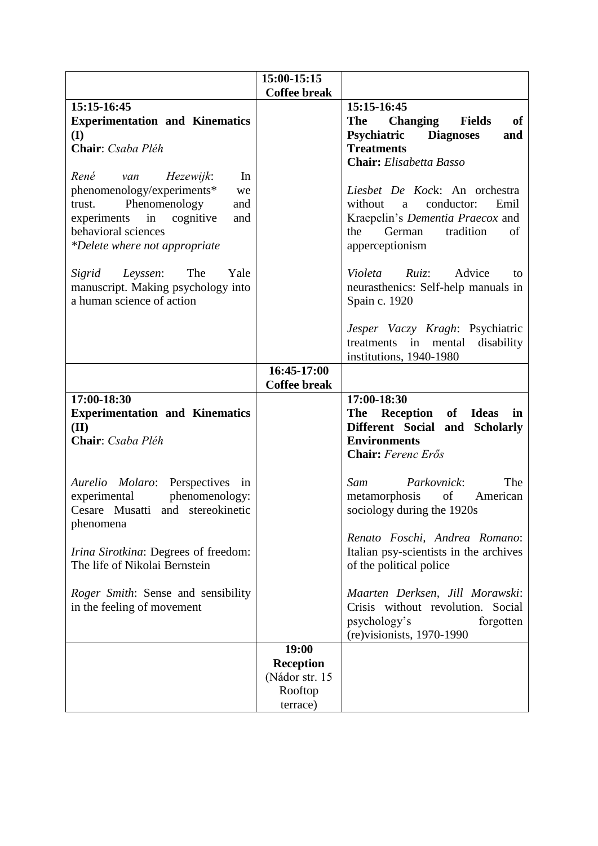|                                                                    | 15:00-15:15         |                                                                                                                                 |
|--------------------------------------------------------------------|---------------------|---------------------------------------------------------------------------------------------------------------------------------|
|                                                                    | <b>Coffee break</b> |                                                                                                                                 |
| 15:15-16:45                                                        |                     | 15:15-16:45                                                                                                                     |
| <b>Experimentation and Kinematics</b>                              |                     | <b>The</b><br><b>Changing</b><br><b>Fields</b><br><b>of</b>                                                                     |
| (I)<br>Chair: Csaba Pléh                                           |                     | Psychiatric<br><b>Diagnoses</b><br>and<br><b>Treatments</b>                                                                     |
|                                                                    |                     |                                                                                                                                 |
| René<br>In                                                         |                     | <b>Chair:</b> Elisabetta Basso                                                                                                  |
| Hezewijk:<br>van                                                   |                     | Liesbet De Kock: An orchestra                                                                                                   |
| phenomenology/experiments*<br>we<br>Phenomenology<br>trust.<br>and |                     | without<br>conductor:<br>Emil<br>a                                                                                              |
| in<br>cognitive<br>experiments<br>and                              |                     | Kraepelin's Dementia Praecox and                                                                                                |
| behavioral sciences                                                |                     | German<br>tradition<br>of<br>the                                                                                                |
| *Delete where not appropriate                                      |                     | apperceptionism                                                                                                                 |
|                                                                    |                     |                                                                                                                                 |
| The<br>Yale<br>Sigrid<br>Leyssen:                                  |                     | $Ruiz$ :<br>Advice<br>Violeta<br>to                                                                                             |
| manuscript. Making psychology into                                 |                     | neurasthenics: Self-help manuals in                                                                                             |
| a human science of action                                          |                     | Spain c. 1920                                                                                                                   |
|                                                                    |                     |                                                                                                                                 |
|                                                                    |                     | Jesper Vaczy Kragh: Psychiatric                                                                                                 |
|                                                                    |                     | in mental<br>disability<br>treatments                                                                                           |
|                                                                    |                     | institutions, 1940-1980                                                                                                         |
|                                                                    | 16:45-17:00         |                                                                                                                                 |
|                                                                    | <b>Coffee break</b> |                                                                                                                                 |
| 17:00-18:30                                                        |                     | 17:00-18:30                                                                                                                     |
| <b>Experimentation and Kinematics</b>                              |                     | The<br>Reception<br>of<br><b>Ideas</b><br>in                                                                                    |
| (II)                                                               |                     | Different Social and Scholarly                                                                                                  |
| Chair: Csaba Pléh                                                  |                     | <b>Environments</b>                                                                                                             |
|                                                                    |                     | Chair: Ferenc Erős                                                                                                              |
| Aurelio<br>Molaro:<br>Perspectives in                              |                     | The<br>Sam<br>Parkovnick:                                                                                                       |
| experimental<br>phenomenology:                                     |                     | $% \left( \left( \mathcal{A},\mathcal{A}\right) \right) =\left( \mathcal{A},\mathcal{A}\right)$ of<br>metamorphosis<br>American |
| Cesare Musatti and stereokinetic                                   |                     | sociology during the 1920s                                                                                                      |
| phenomena                                                          |                     |                                                                                                                                 |
|                                                                    |                     |                                                                                                                                 |
|                                                                    |                     |                                                                                                                                 |
|                                                                    |                     | Renato Foschi, Andrea Romano:                                                                                                   |
| <i>Irina Sirotkina</i> : Degrees of freedom:                       |                     | Italian psy-scientists in the archives                                                                                          |
| The life of Nikolai Bernstein                                      |                     | of the political police                                                                                                         |
| Roger Smith: Sense and sensibility                                 |                     | Maarten Derksen, Jill Morawski:                                                                                                 |
| in the feeling of movement                                         |                     | Crisis without revolution. Social                                                                                               |
|                                                                    |                     | psychology's<br>forgotten                                                                                                       |
|                                                                    |                     | $(re)$ visionists, 1970-1990                                                                                                    |
|                                                                    | 19:00               |                                                                                                                                 |
|                                                                    | <b>Reception</b>    |                                                                                                                                 |
|                                                                    | (Nádor str. 15      |                                                                                                                                 |
|                                                                    | Rooftop<br>terrace) |                                                                                                                                 |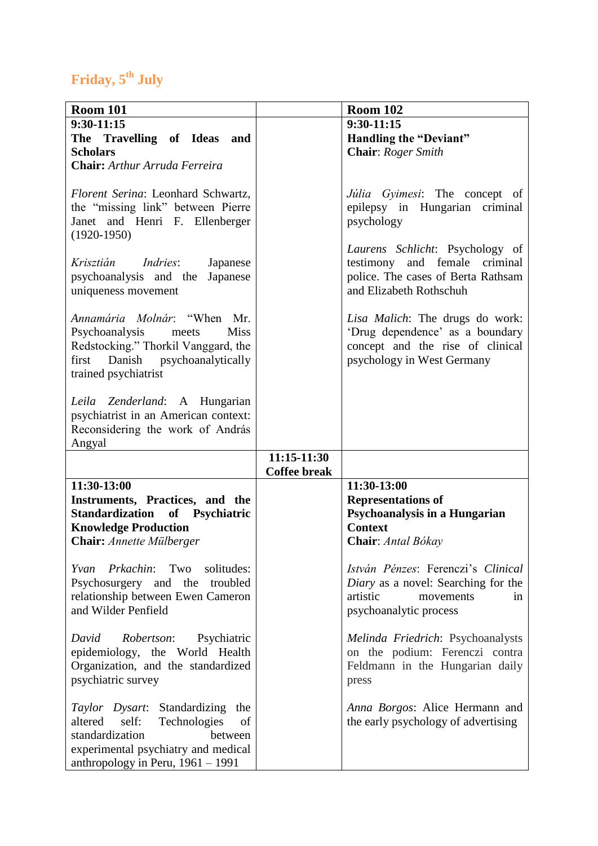# **Friday, 5th July**

| <b>Room 101</b>                             |                                    | <b>Room 102</b>                     |
|---------------------------------------------|------------------------------------|-------------------------------------|
| $9:30-11:15$                                |                                    | 9:30-11:15                          |
| The Travelling of Ideas<br>and              |                                    | <b>Handling the "Deviant"</b>       |
| <b>Scholars</b>                             |                                    | Chair: Roger Smith                  |
| Chair: Arthur Arruda Ferreira               |                                    |                                     |
|                                             |                                    |                                     |
| Florent Serina: Leonhard Schwartz,          |                                    | Júlia Gyimesi: The concept of       |
| the "missing link" between Pierre           |                                    | epilepsy in Hungarian criminal      |
| Janet and Henri F. Ellenberger              |                                    | psychology                          |
| $(1920-1950)$                               |                                    |                                     |
|                                             |                                    | Laurens Schlicht: Psychology of     |
| Krisztián<br><i>Indries:</i><br>Japanese    |                                    | testimony and female criminal       |
| psychoanalysis and the<br>Japanese          |                                    | police. The cases of Berta Rathsam  |
|                                             |                                    | and Elizabeth Rothschuh             |
| uniqueness movement                         |                                    |                                     |
| <i>Annamária Molnár</i> : "When Mr.         |                                    |                                     |
| <b>Miss</b>                                 |                                    | Lisa Malich: The drugs do work:     |
| Psychoanalysis<br>meets                     |                                    | 'Drug dependence' as a boundary     |
| Redstocking." Thorkil Vanggard, the         |                                    | concept and the rise of clinical    |
| first Danish psychoanalytically             |                                    | psychology in West Germany          |
| trained psychiatrist                        |                                    |                                     |
|                                             |                                    |                                     |
| Leila Zenderland: A Hungarian               |                                    |                                     |
| psychiatrist in an American context:        |                                    |                                     |
| Reconsidering the work of András            |                                    |                                     |
| Angyal                                      |                                    |                                     |
|                                             | 11:15-11:30<br><b>Coffee break</b> |                                     |
|                                             |                                    |                                     |
| 11:30-13:00                                 |                                    | 11:30-13:00                         |
| Instruments, Practices, and the             |                                    | <b>Representations of</b>           |
| Standardization of Psychiatric              |                                    | Psychoanalysis in a Hungarian       |
| <b>Knowledge Production</b>                 |                                    | <b>Context</b>                      |
| <b>Chair:</b> Annette Mülberger             |                                    | Chair: Antal Bókay                  |
|                                             |                                    |                                     |
| <i>Prkachin</i> : Two<br>solitudes:<br>Yvan |                                    | István Pénzes: Ferenczi's Clinical  |
| Psychosurgery and the troubled              |                                    | Diary as a novel: Searching for the |
| relationship between Ewen Cameron           |                                    | artistic<br>movements<br>in         |
| and Wilder Penfield                         |                                    | psychoanalytic process              |
|                                             |                                    |                                     |
| David<br><i>Robertson:</i><br>Psychiatric   |                                    | Melinda Friedrich: Psychoanalysts   |
| epidemiology, the World Health              |                                    | on the podium: Ferenczi contra      |
| Organization, and the standardized          |                                    | Feldmann in the Hungarian daily     |
| psychiatric survey                          |                                    | press                               |
|                                             |                                    |                                     |
| Taylor Dysart: Standardizing the            |                                    | Anna Borgos: Alice Hermann and      |
| self:<br>altered<br>Technologies<br>of      |                                    | the early psychology of advertising |
| standardization<br>between                  |                                    |                                     |
| experimental psychiatry and medical         |                                    |                                     |
| anthropology in Peru, $1961 - 1991$         |                                    |                                     |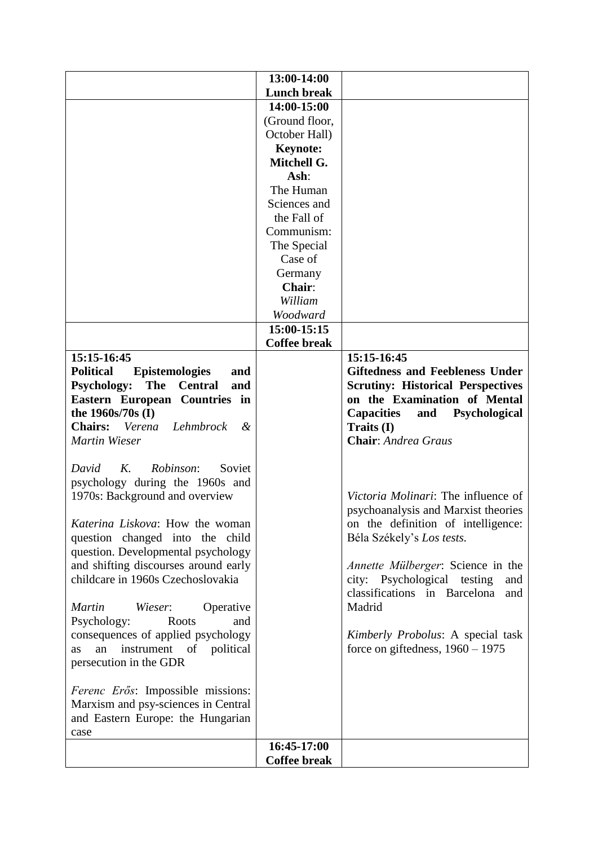|                                                                          | 13:00-14:00         |                                          |
|--------------------------------------------------------------------------|---------------------|------------------------------------------|
|                                                                          | <b>Lunch break</b>  |                                          |
|                                                                          | 14:00-15:00         |                                          |
|                                                                          | (Ground floor,      |                                          |
|                                                                          | October Hall)       |                                          |
|                                                                          | <b>Keynote:</b>     |                                          |
|                                                                          | Mitchell G.         |                                          |
|                                                                          | Ash:                |                                          |
|                                                                          | The Human           |                                          |
|                                                                          | Sciences and        |                                          |
|                                                                          | the Fall of         |                                          |
|                                                                          | Communism:          |                                          |
|                                                                          | The Special         |                                          |
|                                                                          | Case of             |                                          |
|                                                                          | Germany             |                                          |
|                                                                          | Chair:              |                                          |
|                                                                          | William             |                                          |
|                                                                          | Woodward            |                                          |
|                                                                          | 15:00-15:15         |                                          |
|                                                                          | <b>Coffee break</b> |                                          |
| 15:15-16:45                                                              |                     | 15:15-16:45                              |
| <b>Political</b><br><b>Epistemologies</b><br>and                         |                     | <b>Giftedness and Feebleness Under</b>   |
| <b>Psychology:</b><br>The<br><b>Central</b><br>and                       |                     | <b>Scrutiny: Historical Perspectives</b> |
| Eastern European Countries in                                            |                     | on the Examination of Mental             |
| the 1960s/70s (I)                                                        |                     | <b>Capacities</b><br>and Psychological   |
| Chairs: Verena<br>Lehmbrock<br>&                                         |                     | Traits (I)                               |
| <b>Martin Wieser</b>                                                     |                     | <b>Chair:</b> Andrea Graus               |
|                                                                          |                     |                                          |
| Robinson:<br>David<br>K.<br>Soviet                                       |                     |                                          |
| psychology during the 1960s and                                          |                     |                                          |
| 1970s: Background and overview                                           |                     | Victoria Molinari: The influence of      |
|                                                                          |                     | psychoanalysis and Marxist theories      |
| Katerina Liskova: How the woman                                          |                     | on the definition of intelligence:       |
| question changed into the child                                          |                     | Béla Székely's Los tests.                |
| question. Developmental psychology                                       |                     |                                          |
| and shifting discourses around early                                     |                     | <i>Annette Mülberger:</i> Science in the |
| childcare in 1960s Czechoslovakia                                        |                     | city: Psychological testing<br>and       |
|                                                                          |                     | classifications in Barcelona<br>and      |
| <b>Martin</b><br>Wieser:<br>Operative                                    |                     | Madrid                                   |
| Psychology:<br>Roots<br>and                                              |                     |                                          |
| consequences of applied psychology                                       |                     | Kimberly Probolus: A special task        |
| instrument of<br>an<br>political<br><b>as</b>                            |                     | force on giftedness, $1960 - 1975$       |
| persecution in the GDR                                                   |                     |                                          |
|                                                                          |                     |                                          |
| Ferenc Erős: Impossible missions:                                        |                     |                                          |
| Marxism and psy-sciences in Central<br>and Eastern Europe: the Hungarian |                     |                                          |
|                                                                          |                     |                                          |
| case                                                                     | 16:45-17:00         |                                          |
|                                                                          | <b>Coffee break</b> |                                          |
|                                                                          |                     |                                          |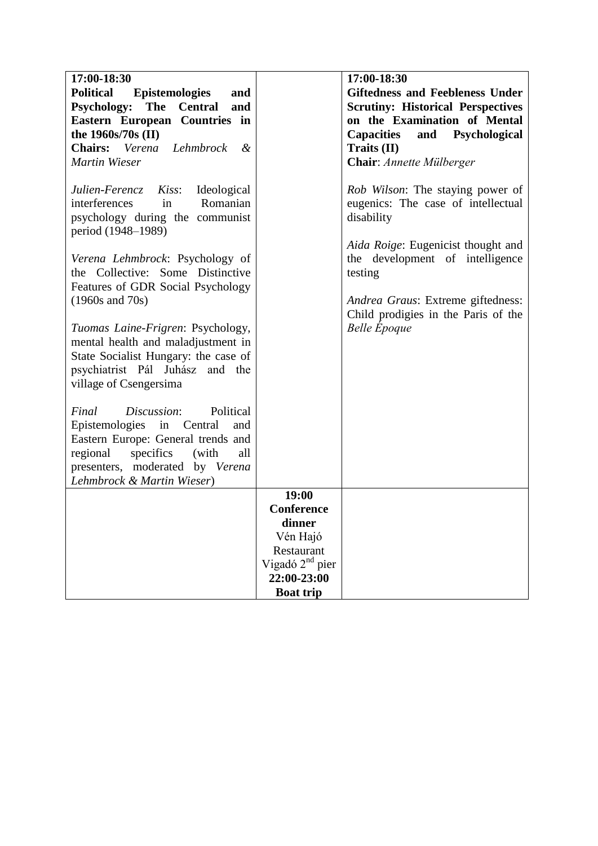| 17:00-18:30                                                                                                                        |                             | 17:00-18:30                                                                          |
|------------------------------------------------------------------------------------------------------------------------------------|-----------------------------|--------------------------------------------------------------------------------------|
| <b>Political</b><br><b>Epistemologies</b><br>and                                                                                   |                             | <b>Giftedness and Feebleness Under</b>                                               |
| <b>Psychology:</b><br>The<br><b>Central</b><br>and                                                                                 |                             | <b>Scrutiny: Historical Perspectives</b>                                             |
| Eastern European Countries in                                                                                                      |                             | on the Examination of Mental                                                         |
| the 1960s/70s (II)                                                                                                                 |                             | <b>Capacities</b><br>and<br>Psychological                                            |
| Lehmbrock<br>Chairs: Verena<br>$\boldsymbol{\mathcal{X}}$                                                                          |                             | Traits (II)                                                                          |
| <b>Martin Wieser</b>                                                                                                               |                             | Chair: Annette Mülberger                                                             |
| Ideological<br>Julien-Ferencz<br>Kiss:<br>Romanian<br>interferences<br>in<br>psychology during the communist<br>period (1948–1989) |                             | Rob Wilson: The staying power of<br>eugenics: The case of intellectual<br>disability |
| Verena Lehmbrock: Psychology of<br>the Collective: Some Distinctive<br>Features of GDR Social Psychology                           |                             | Aida Roige: Eugenicist thought and<br>the development of intelligence<br>testing     |
| $(1960s$ and $70s)$                                                                                                                |                             | Andrea Graus: Extreme giftedness:<br>Child prodigies in the Paris of the             |
| Tuomas Laine-Frigren: Psychology,<br>mental health and maladjustment in                                                            |                             | <b>Belle</b> <i>Époque</i>                                                           |
| State Socialist Hungary: the case of                                                                                               |                             |                                                                                      |
| psychiatrist Pál Juhász and the                                                                                                    |                             |                                                                                      |
| village of Csengersima                                                                                                             |                             |                                                                                      |
| Discussion:<br>Political<br>Final                                                                                                  |                             |                                                                                      |
| Epistemologies in Central<br>and                                                                                                   |                             |                                                                                      |
| Eastern Europe: General trends and                                                                                                 |                             |                                                                                      |
| regional<br>specifics<br>(with<br>all                                                                                              |                             |                                                                                      |
| presenters, moderated by Verena                                                                                                    |                             |                                                                                      |
| Lehmbrock & Martin Wieser)                                                                                                         |                             |                                                                                      |
|                                                                                                                                    | 19:00<br>Conference         |                                                                                      |
|                                                                                                                                    | dinner                      |                                                                                      |
|                                                                                                                                    | Vén Hajó                    |                                                                                      |
|                                                                                                                                    | Restaurant                  |                                                                                      |
|                                                                                                                                    | Vigadó 2 <sup>nd</sup> pier |                                                                                      |
|                                                                                                                                    | 22:00-23:00                 |                                                                                      |
|                                                                                                                                    | <b>Boat trip</b>            |                                                                                      |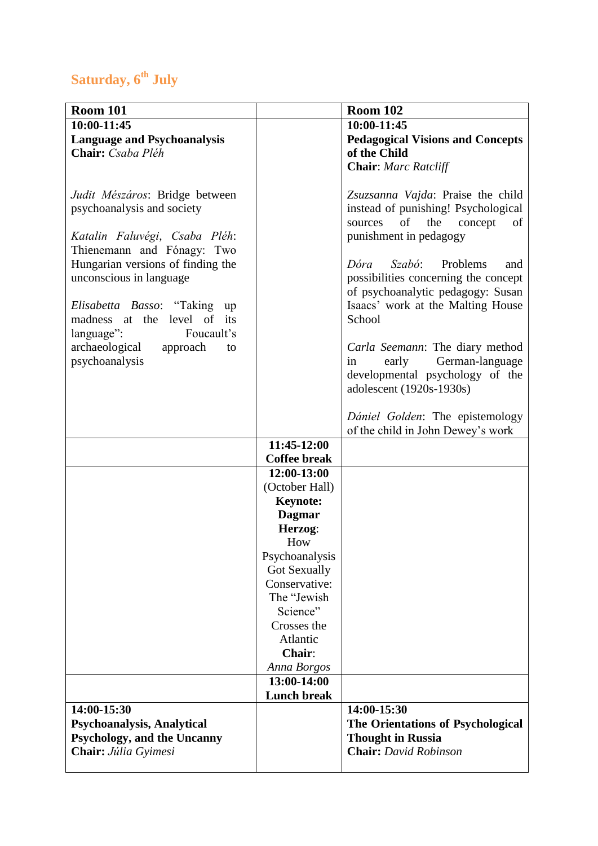# **Saturday, 6th July**

| <b>Room 101</b>                      |                     | <b>Room 102</b>                                          |
|--------------------------------------|---------------------|----------------------------------------------------------|
| 10:00-11:45                          |                     | 10:00-11:45                                              |
| <b>Language and Psychoanalysis</b>   |                     | <b>Pedagogical Visions and Concepts</b>                  |
| Chair: Csaba Pléh                    |                     | of the Child                                             |
|                                      |                     | <b>Chair:</b> Marc Ratcliff                              |
|                                      |                     |                                                          |
| Judit Mészáros: Bridge between       |                     | Zsuzsanna Vajda: Praise the child                        |
| psychoanalysis and society           |                     | instead of punishing! Psychological                      |
|                                      |                     | of<br>the<br>sources<br>concept<br>of                    |
| Katalin Faluvégi, Csaba Pléh:        |                     | punishment in pedagogy                                   |
| Thienemann and Fónagy: Two           |                     |                                                          |
| Hungarian versions of finding the    |                     | Dóra Szabó: Problems<br>and                              |
| unconscious in language              |                     | possibilities concerning the concept                     |
|                                      |                     | of psychoanalytic pedagogy: Susan                        |
| <i>Elisabetta Basso</i> : "Taking up |                     | Isaacs' work at the Malting House                        |
| madness at the<br>level of its       |                     | School                                                   |
| Foucault's<br>language":             |                     |                                                          |
| archaeological approach<br>to        |                     | Carla Seemann: The diary method                          |
| psychoanalysis                       |                     | German-language<br>early<br>in                           |
|                                      |                     | developmental psychology of the                          |
|                                      |                     | adolescent (1920s-1930s)                                 |
|                                      |                     |                                                          |
|                                      |                     | Dániel Golden: The epistemology                          |
|                                      |                     | of the child in John Dewey's work                        |
|                                      | 11:45-12:00         |                                                          |
|                                      | <b>Coffee break</b> |                                                          |
|                                      | 12:00-13:00         |                                                          |
|                                      | (October Hall)      |                                                          |
|                                      | <b>Keynote:</b>     |                                                          |
|                                      | <b>Dagmar</b>       |                                                          |
|                                      | Herzog:             |                                                          |
|                                      | How                 |                                                          |
|                                      | Psychoanalysis      |                                                          |
|                                      | <b>Got Sexually</b> |                                                          |
|                                      | Conservative:       |                                                          |
|                                      | The "Jewish         |                                                          |
|                                      | Science"            |                                                          |
|                                      | Crosses the         |                                                          |
|                                      | Atlantic            |                                                          |
|                                      | Chair:              |                                                          |
|                                      | Anna Borgos         |                                                          |
|                                      | 13:00-14:00         |                                                          |
|                                      | <b>Lunch break</b>  |                                                          |
| 14:00-15:30                          |                     | 14:00-15:30                                              |
| Psychoanalysis, Analytical           |                     | The Orientations of Psychological                        |
| <b>Psychology, and the Uncanny</b>   |                     | <b>Thought in Russia</b><br><b>Chair:</b> David Robinson |
| Chair: Júlia Gyimesi                 |                     |                                                          |